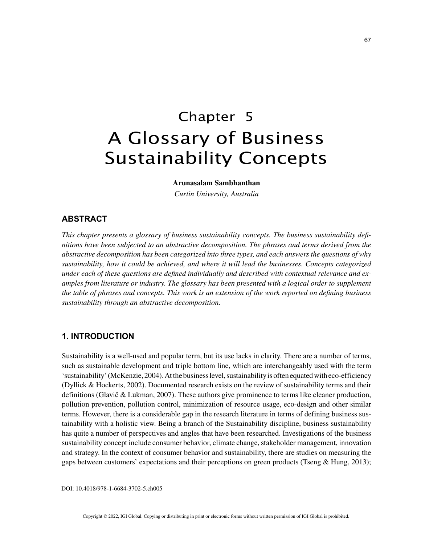# Chapter 5 A Glossary of Business Sustainability Concepts

**Arunasalam Sambhanthan**

*Curtin University, Australia*

# **ABSTRACT**

*This chapter presents a glossary of business sustainability concepts. The business sustainability definitions have been subjected to an abstractive decomposition. The phrases and terms derived from the abstractive decomposition has been categorized into three types, and each answers the questions of why sustainability, how it could be achieved, and where it will lead the businesses. Concepts categorized under each of these questions are defined individually and described with contextual relevance and examples from literature or industry. The glossary has been presented with a logical order to supplement the table of phrases and concepts. This work is an extension of the work reported on defining business sustainability through an abstractive decomposition.*

# **1. INTRODUCTION**

Sustainability is a well-used and popular term, but its use lacks in clarity. There are a number of terms, such as sustainable development and triple bottom line, which are interchangeably used with the term 'sustainability' (McKenzie, 2004). At the business level, sustainability is often equated with eco-efficiency (Dyllick & Hockerts, 2002). Documented research exists on the review of sustainability terms and their definitions (Glavič & Lukman, 2007). These authors give prominence to terms like cleaner production, pollution prevention, pollution control, minimization of resource usage, eco-design and other similar terms. However, there is a considerable gap in the research literature in terms of defining business sustainability with a holistic view. Being a branch of the Sustainability discipline, business sustainability has quite a number of perspectives and angles that have been researched. Investigations of the business sustainability concept include consumer behavior, climate change, stakeholder management, innovation and strategy. In the context of consumer behavior and sustainability, there are studies on measuring the gaps between customers' expectations and their perceptions on green products (Tseng & Hung, 2013);

DOI: 10.4018/978-1-6684-3702-5.ch005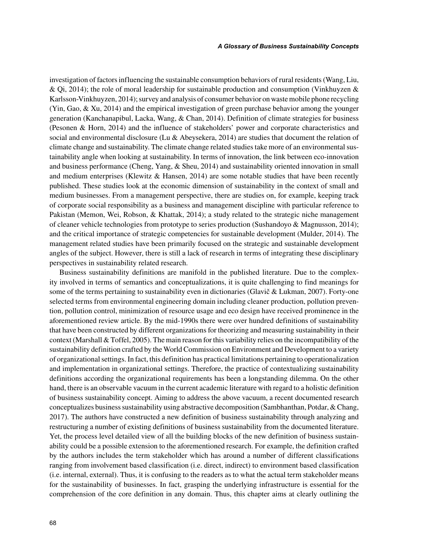investigation of factors influencing the sustainable consumption behaviors of rural residents (Wang, Liu, & Qi, 2014); the role of moral leadership for sustainable production and consumption (Vinkhuyzen & Karlsson-Vinkhuyzen, 2014); survey and analysis of consumer behavior on waste mobile phone recycling (Yin, Gao, & Xu, 2014) and the empirical investigation of green purchase behavior among the younger generation (Kanchanapibul, Lacka, Wang, & Chan, 2014). Definition of climate strategies for business (Pesonen & Horn, 2014) and the influence of stakeholders' power and corporate characteristics and social and environmental disclosure (Lu & Abeysekera, 2014) are studies that document the relation of climate change and sustainability. The climate change related studies take more of an environmental sustainability angle when looking at sustainability. In terms of innovation, the link between eco-innovation and business performance (Cheng, Yang, & Sheu, 2014) and sustainability oriented innovation in small and medium enterprises (Klewitz & Hansen, 2014) are some notable studies that have been recently published. These studies look at the economic dimension of sustainability in the context of small and medium businesses. From a management perspective, there are studies on, for example, keeping track of corporate social responsibility as a business and management discipline with particular reference to Pakistan (Memon, Wei, Robson, & Khattak, 2014); a study related to the strategic niche management of cleaner vehicle technologies from prototype to series production (Sushandoyo & Magnusson, 2014); and the critical importance of strategic competencies for sustainable development (Mulder, 2014). The management related studies have been primarily focused on the strategic and sustainable development angles of the subject. However, there is still a lack of research in terms of integrating these disciplinary perspectives in sustainability related research.

Business sustainability definitions are manifold in the published literature. Due to the complexity involved in terms of semantics and conceptualizations, it is quite challenging to find meanings for some of the terms pertaining to sustainability even in dictionaries (Glavič & Lukman, 2007). Forty-one selected terms from environmental engineering domain including cleaner production, pollution prevention, pollution control, minimization of resource usage and eco design have received prominence in the aforementioned review article. By the mid-1990s there were over hundred definitions of sustainability that have been constructed by different organizations for theorizing and measuring sustainability in their context (Marshall & Toffel, 2005). The main reason for this variability relies on the incompatibility of the sustainability definition crafted by the World Commission on Environment and Development to a variety of organizational settings. In fact, this definition has practical limitations pertaining to operationalization and implementation in organizational settings. Therefore, the practice of contextualizing sustainability definitions according the organizational requirements has been a longstanding dilemma. On the other hand, there is an observable vacuum in the current academic literature with regard to a holistic definition of business sustainability concept. Aiming to address the above vacuum, a recent documented research conceptualizes business sustainability using abstractive decomposition (Sambhanthan, Potdar, & Chang, 2017). The authors have constructed a new definition of business sustainability through analyzing and restructuring a number of existing definitions of business sustainability from the documented literature. Yet, the process level detailed view of all the building blocks of the new definition of business sustainability could be a possible extension to the aforementioned research. For example, the definition crafted by the authors includes the term stakeholder which has around a number of different classifications ranging from involvement based classification (i.e. direct, indirect) to environment based classification (i.e. internal, external). Thus, it is confusing to the readers as to what the actual term stakeholder means for the sustainability of businesses. In fact, grasping the underlying infrastructure is essential for the comprehension of the core definition in any domain. Thus, this chapter aims at clearly outlining the